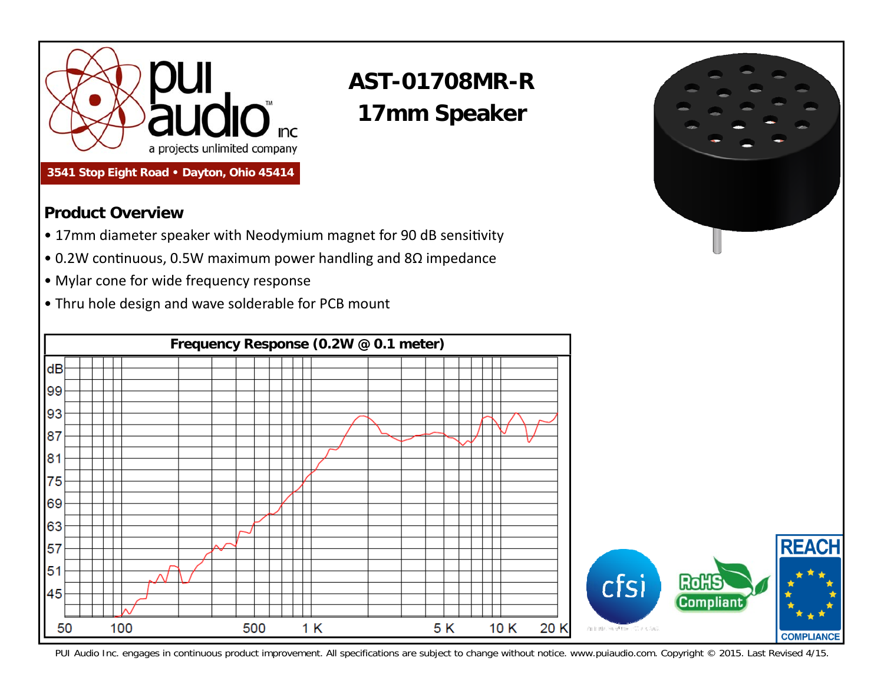

## **3541 Stop Eight Road • Dayton, Ohio 45414**

## **AST-01708MR-R 17mm Speaker**

## **Product Overview**

- 17mm diameter speaker with Neodymium magnet for 90 dB sensitivity
- 0.2W continuous, 0.5W maximum power handling and 8Ω impedance
- Mylar cone for wide frequency response
- Thru hole design and wave solderable for PCB mount



PUI Audio Inc. engages in continuous product improvement. All specifications are subject to change without notice. www.puiaudio.com. Copyright © 2015. Last Revised 4/15.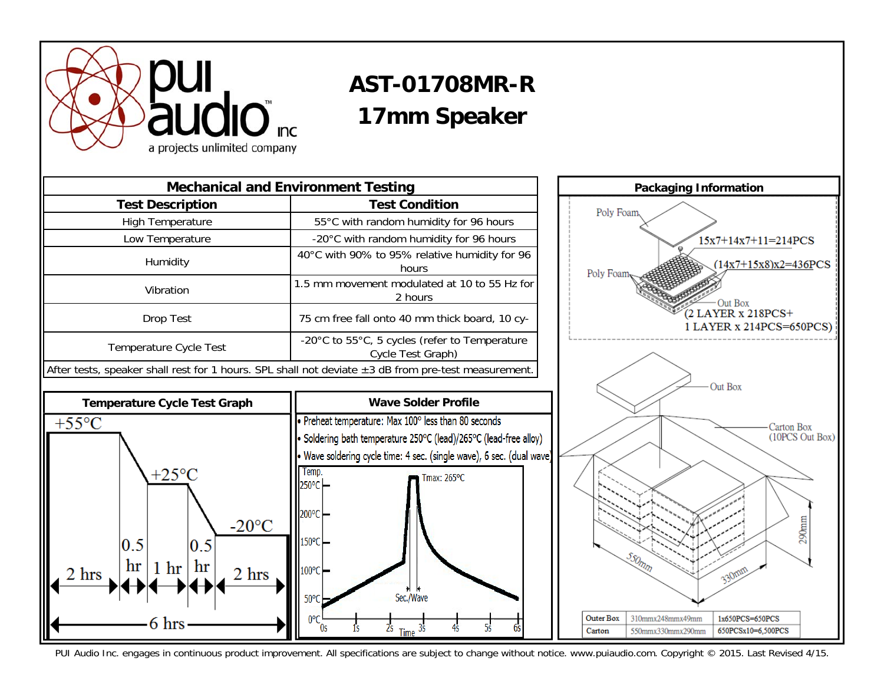

## **AST-01708MR-R 17mm Speaker**





PUI Audio Inc. engages in continuous product improvement. All specifications are subject to change without notice. www.puiaudio.com. Copyright © 2015. Last Revised 4/15.